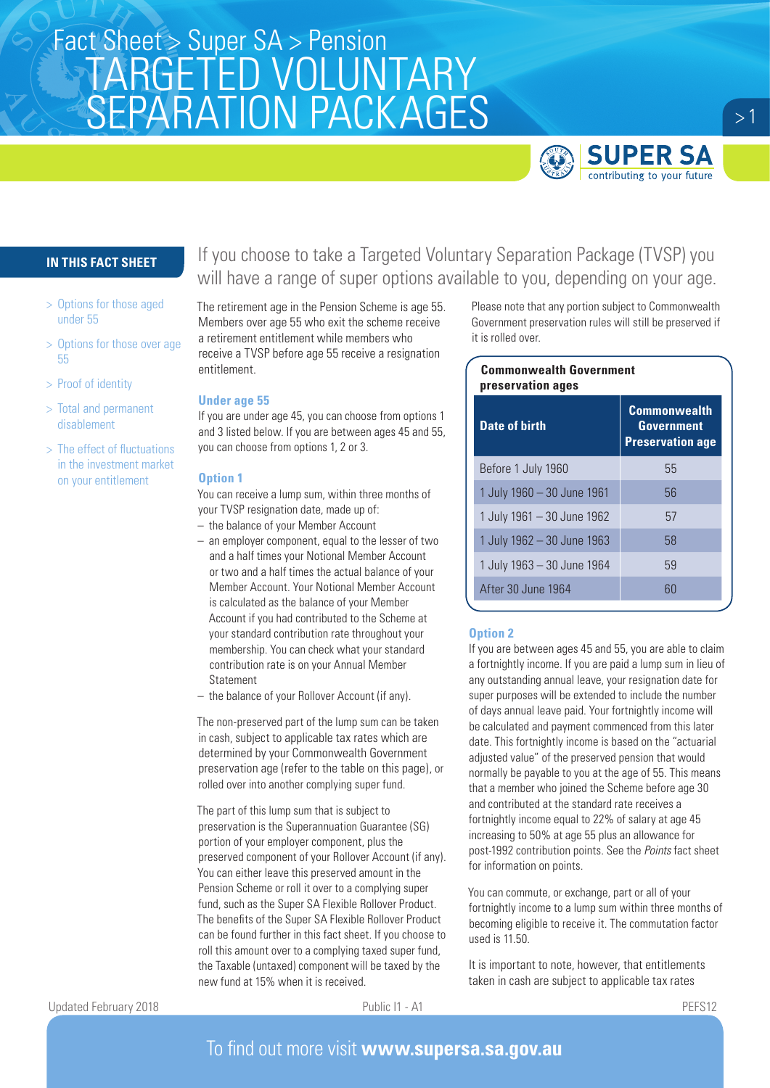

# **IN THIS FACT SHEET**

- > Options for those aged under 55
- > Options for those over age 55
- > Proof of identity
- > Total and permanent disablement
- > The effect of fluctuations in the investment market on your entitlement

If you choose to take a Targeted Voluntary Separation Package (TVSP) you will have a range of super options available to you, depending on your age.

The retirement age in the Pension Scheme is age 55. Members over age 55 who exit the scheme receive a retirement entitlement while members who receive a TVSP before age 55 receive a resignation entitlement.

### **Under age 55**

If you are under age 45, you can choose from options 1 and 3 listed below. If you are between ages 45 and 55, you can choose from options 1, 2 or 3.

### **Option 1**

You can receive a lump sum, within three months of your TVSP resignation date, made up of:

- the balance of your Member Account
- an employer component, equal to the lesser of two and a half times your Notional Member Account or two and a half times the actual balance of your Member Account. Your Notional Member Account is calculated as the balance of your Member Account if you had contributed to the Scheme at your standard contribution rate throughout your membership. You can check what your standard contribution rate is on your Annual Member Statement
- the balance of your Rollover Account (if any).

The non-preserved part of the lump sum can be taken in cash, subject to applicable tax rates which are determined by your Commonwealth Government preservation age (refer to the table on this page), or rolled over into another complying super fund.

The part of this lump sum that is subject to preservation is the Superannuation Guarantee (SG) portion of your employer component, plus the preserved component of your Rollover Account (if any). You can either leave this preserved amount in the Pension Scheme or roll it over to a complying super fund, such as the Super SA Flexible Rollover Product. The benefits of the Super SA Flexible Rollover Product can be found further in this fact sheet. If you choose to roll this amount over to a complying taxed super fund, the Taxable (untaxed) component will be taxed by the new fund at 15% when it is received.

Please note that any portion subject to Commonwealth Government preservation rules will still be preserved if it is rolled over.

| <b>Commonwealth Government</b><br>preservation ages |                                                                     |
|-----------------------------------------------------|---------------------------------------------------------------------|
| <b>Date of birth</b>                                | <b>Commonwealth</b><br><b>Government</b><br><b>Preservation age</b> |
| Before 1 July 1960                                  | 55                                                                  |
| 1 July 1960 - 30 June 1961                          | 56                                                                  |
| 1 July 1961 - 30 June 1962                          | 57                                                                  |
| 1 July 1962 - 30 June 1963                          | 58                                                                  |
| 1 July 1963 - 30 June 1964                          | 59                                                                  |
| After 30 June 1964                                  | 60                                                                  |
|                                                     |                                                                     |

### **Option 2**

If you are between ages 45 and 55, you are able to claim a fortnightly income. If you are paid a lump sum in lieu of any outstanding annual leave, your resignation date for super purposes will be extended to include the number of days annual leave paid. Your fortnightly income will be calculated and payment commenced from this later date. This fortnightly income is based on the "actuarial adjusted value" of the preserved pension that would normally be payable to you at the age of 55. This means that a member who joined the Scheme before age 30 and contributed at the standard rate receives a fortnightly income equal to 22% of salary at age 45 increasing to 50% at age 55 plus an allowance for post-1992 contribution points. See the *Points* fact sheet for information on points.

You can commute, or exchange, part or all of your fortnightly income to a lump sum within three months of becoming eligible to receive it. The commutation factor used is 11.50.

It is important to note, however, that entitlements taken in cash are subject to applicable tax rates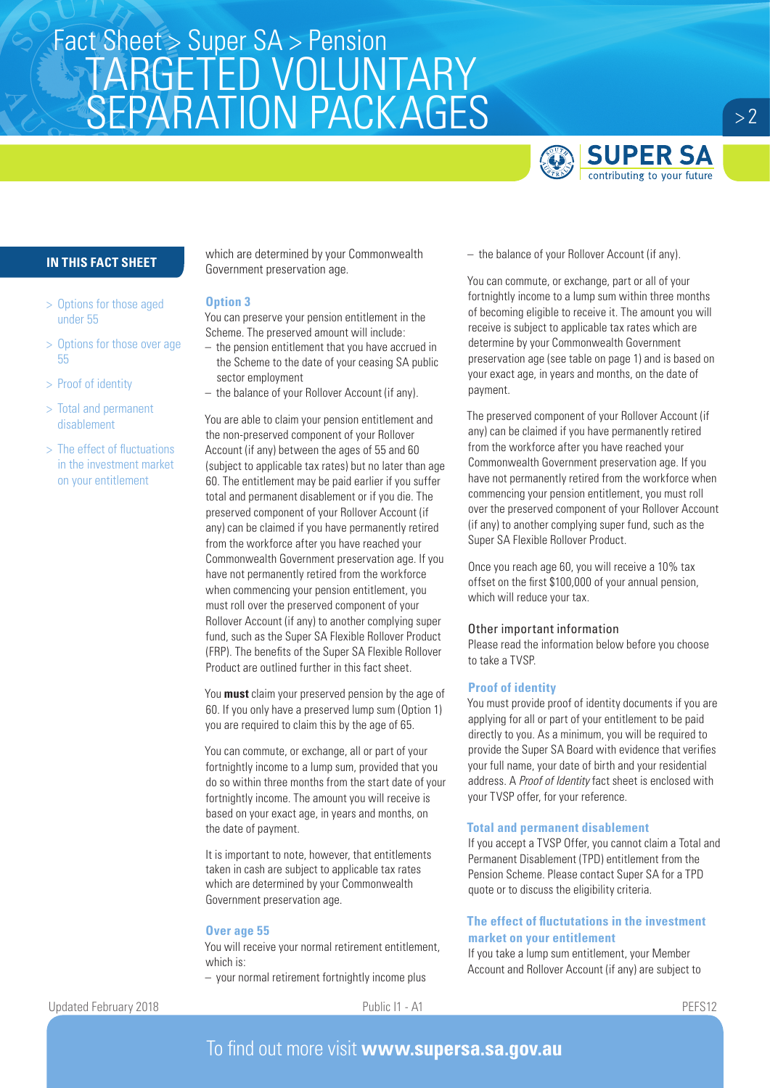

## **IN THIS FACT SHEET**

- > Options for those aged under 55
- > Options for those over age 55
- > Proof of identity
- > Total and permanent disablement
- > The effect of fluctuations in the investment market on your entitlement

which are determined by your Commonwealth Government preservation age.

#### **Option 3**

You can preserve your pension entitlement in the Scheme. The preserved amount will include: – the pension entitlement that you have accrued in

- the Scheme to the date of your ceasing SA public sector employment
- the balance of your Rollover Account (if any).

You are able to claim your pension entitlement and the non-preserved component of your Rollover Account (if any) between the ages of 55 and 60 (subject to applicable tax rates) but no later than age 60. The entitlement may be paid earlier if you suffer total and permanent disablement or if you die. The preserved component of your Rollover Account (if any) can be claimed if you have permanently retired from the workforce after you have reached your Commonwealth Government preservation age. If you have not permanently retired from the workforce when commencing your pension entitlement, you must roll over the preserved component of your Rollover Account (if any) to another complying super fund, such as the Super SA Flexible Rollover Product (FRP). The benefits of the Super SA Flexible Rollover Product are outlined further in this fact sheet.

You **must** claim your preserved pension by the age of 60. If you only have a preserved lump sum (Option 1) you are required to claim this by the age of 65.

You can commute, or exchange, all or part of your fortnightly income to a lump sum, provided that you do so within three months from the start date of your fortnightly income. The amount you will receive is based on your exact age, in years and months, on the date of payment.

It is important to note, however, that entitlements taken in cash are subject to applicable tax rates which are determined by your Commonwealth Government preservation age.

### **Over age 55**

You will receive your normal retirement entitlement, which is:

– your normal retirement fortnightly income plus

– the balance of your Rollover Account (if any).

You can commute, or exchange, part or all of your fortnightly income to a lump sum within three months of becoming eligible to receive it. The amount you will receive is subject to applicable tax rates which are determine by your Commonwealth Government preservation age (see table on page 1) and is based on your exact age, in years and months, on the date of payment.

The preserved component of your Rollover Account (if any) can be claimed if you have permanently retired from the workforce after you have reached your Commonwealth Government preservation age. If you have not permanently retired from the workforce when commencing your pension entitlement, you must roll over the preserved component of your Rollover Account (if any) to another complying super fund, such as the Super SA Flexible Rollover Product.

Once you reach age 60, you will receive a 10% tax offset on the first \$100,000 of your annual pension, which will reduce your tax.

### Other important information

Please read the information below before you choose to take a TVSP.

### **Proof of identity**

You must provide proof of identity documents if you are applying for all or part of your entitlement to be paid directly to you. As a minimum, you will be required to provide the Super SA Board with evidence that verifies your full name, your date of birth and your residential address. A *Proof of Identity* fact sheet is enclosed with your TVSP offer, for your reference.

### **Total and permanent disablement**

If you accept a TVSP Offer, you cannot claim a Total and Permanent Disablement (TPD) entitlement from the Pension Scheme. Please contact Super SA for a TPD quote or to discuss the eligibility criteria.

### **The effect of fluctutations in the investment market on your entitlement**

If you take a lump sum entitlement, your Member Account and Rollover Account (if any) are subject to

Updated February 2018 **Public I1 - A1** PEFS12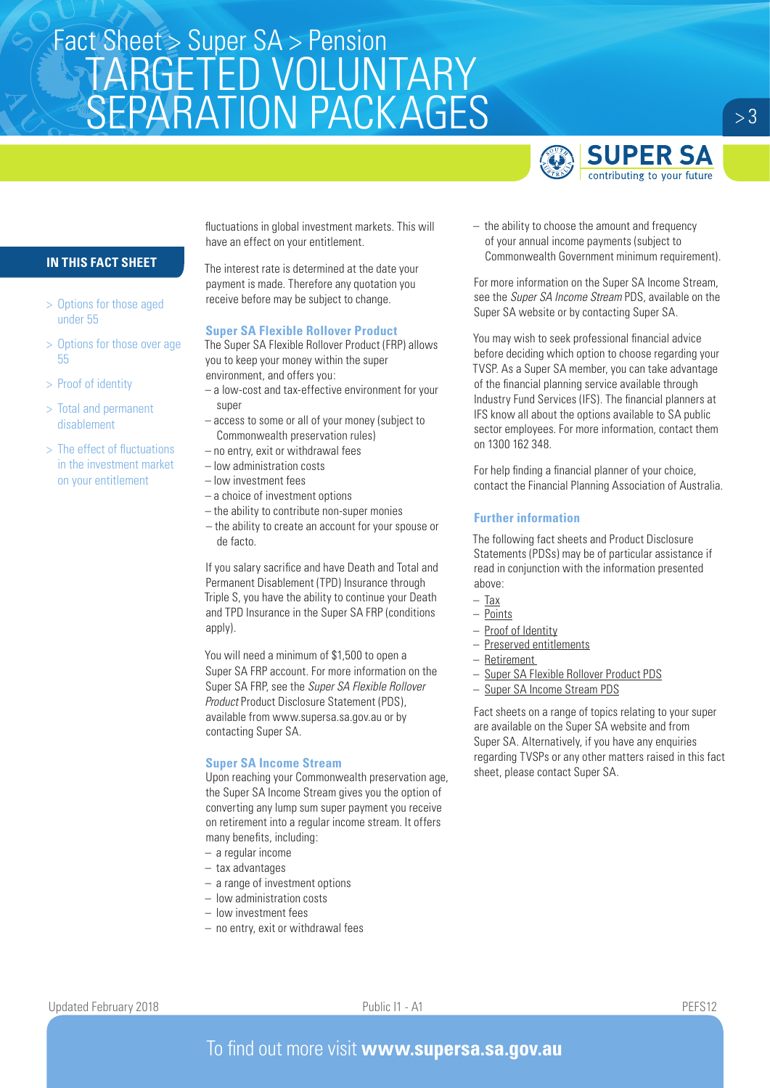

## **IN THIS FACT SHEET**

- > Options for those aged under 55
- > Options for those over age 55
- > Proof of identity
- > Total and permanent disablement
- > The effect of fluctuations in the investment market on your entitlement

fluctuations in global investment markets. This will have an effect on your entitlement.

The interest rate is determined at the date your payment is made. Therefore any quotation you receive before may be subject to change.

### **Super SA Flexible Rollover Product**

The Super SA Flexible Rollover Product (FRP) allows you to keep your money within the super environment, and offers you:

- a low-cost and tax-effective environment for your super
- access to some or all of your money (subject to Commonwealth preservation rules)
- no entry, exit or withdrawal fees
- low administration costs
- low investment fees
- a choice of investment options
- the ability to contribute non-super monies
- the ability to create an account for your spouse or de facto.

If you salary sacrifice and have Death and Total and Permanent Disablement (TPD) Insurance through Triple S, you have the ability to continue your Death and TPD Insurance in the Super SA FRP (conditions apply).

You will need a minimum of \$1,500 to open a Super SA FRP account. For more information on the Super SA FRP, see the *Super SA Flexible Rollover Product* Product Disclosure Statement (PDS), available from www.supersa.sa.gov.au or by contacting Super SA.

### **Super SA Income Stream**

Upon reaching your Commonwealth preservation age, the Super SA Income Stream gives you the option of converting any lump sum super payment you receive on retirement into a regular income stream. It offers many benefits, including:

- a regular income
- tax advantages
- a range of investment options
- low administration costs
- low investment fees
- no entry, exit or withdrawal fees

– the ability to choose the amount and frequency of your annual income payments (subject to Commonwealth Government minimum requirement).

For more information on the Super SA Income Stream, see the *Super SA Income Stream* PDS, available on the Super SA website or by contacting Super SA.

You may wish to seek professional financial advice before deciding which option to choose regarding your TVSP. As a Super SA member, you can take advantage of the financial planning service available through Industry Fund Services (IFS). The financial planners at IFS know all about the options available to SA public sector employees. For more information, contact them on 1300 162 348.

For help finding a financial planner of your choice, contact the Financial Planning Association of Australia.

### **Further information**

The following fact sheets and Product Disclosure Statements (PDSs) may be of particular assistance if read in conjunction with the information presented above:

- $-$  Tax
- Points
- Proof of Identity
- Preserved entitlements
- Retirement
- Super SA Flexible Rollover Product PDS
- Super SA Income Stream PDS

Fact sheets on a range of topics relating to your super are available on the Super SA website and from Super SA. Alternatively, if you have any enquiries regarding TVSPs or any other matters raised in this fact sheet, please contact Super SA.